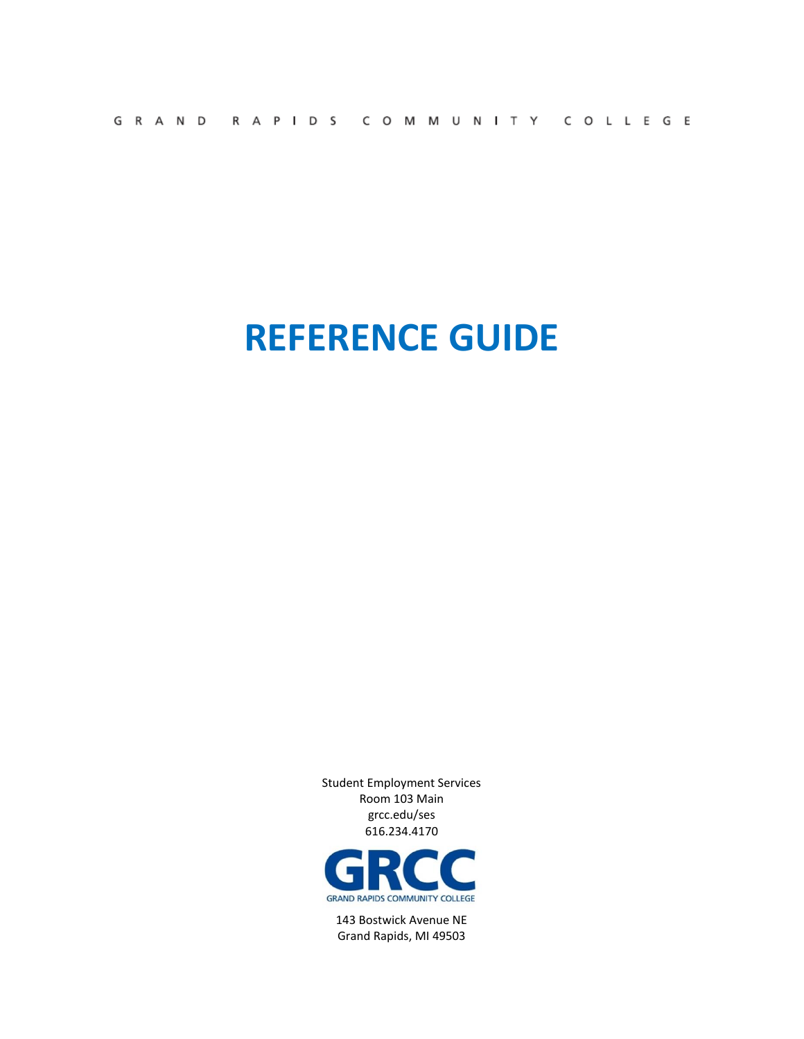| GRAND RAPIDS COMMUNITY COLLEGE |  |
|--------------------------------|--|
|--------------------------------|--|

# **REFERENCE GUIDE**

Student Employment Services Room 103 Main grcc.edu/ses 616.234.4170



143 Bostwick Avenue NE Grand Rapids, MI 49503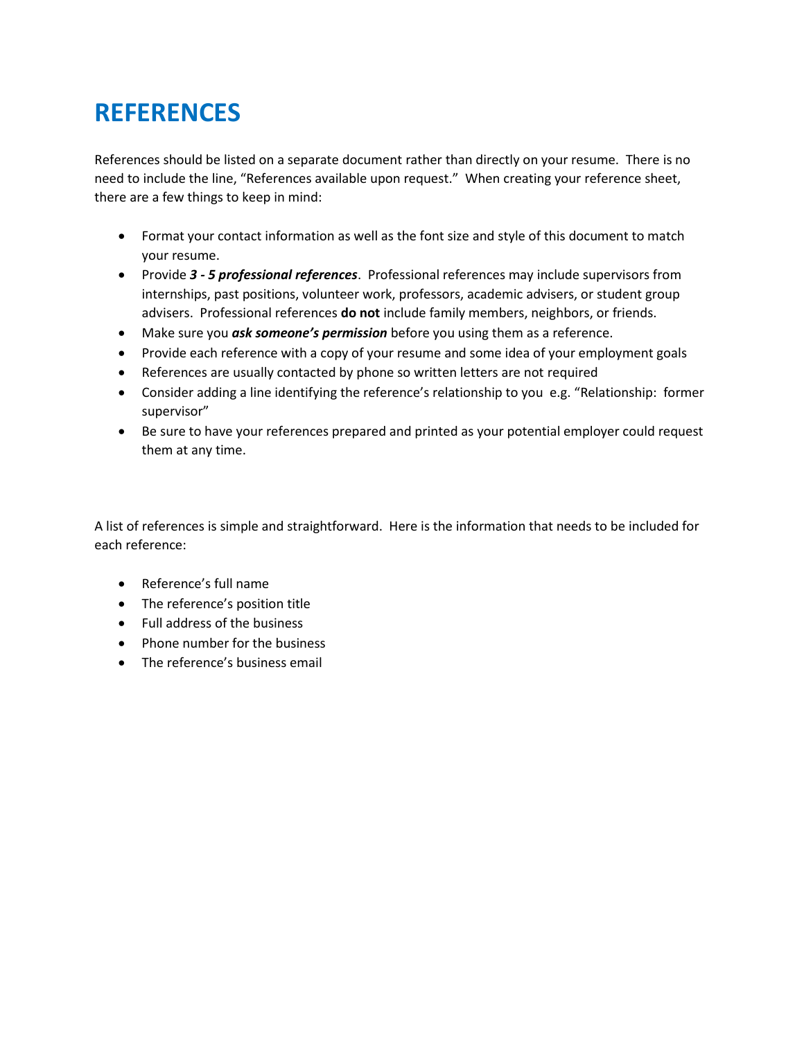## **REFERENCES**

References should be listed on a separate document rather than directly on your resume. There is no need to include the line, "References available upon request." When creating your reference sheet, there are a few things to keep in mind:

- Format your contact information as well as the font size and style of this document to match your resume.
- Provide *3 - 5 professional references*. Professional references may include supervisors from internships, past positions, volunteer work, professors, academic advisers, or student group advisers. Professional references **do not** include family members, neighbors, or friends.
- Make sure you *ask someone's permission* before you using them as a reference.
- Provide each reference with a copy of your resume and some idea of your employment goals
- References are usually contacted by phone so written letters are not required
- Consider adding a line identifying the reference's relationship to you e.g. "Relationship: former supervisor"
- Be sure to have your references prepared and printed as your potential employer could request them at any time.

A list of references is simple and straightforward. Here is the information that needs to be included for each reference:

- Reference's full name
- The reference's position title
- Full address of the business
- Phone number for the business
- The reference's business email